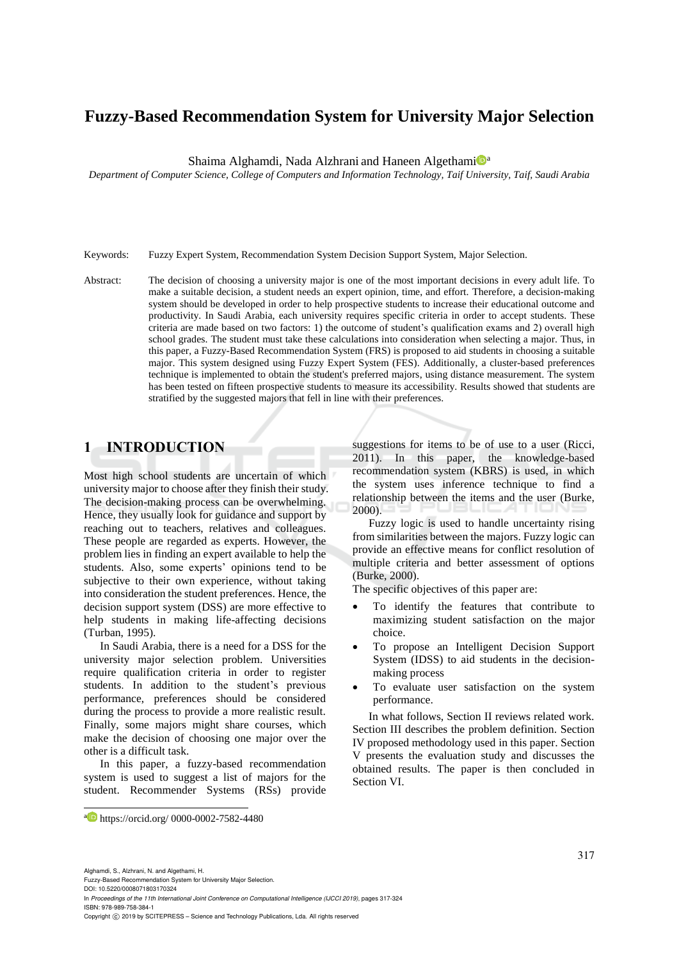# **Fuzzy-Based Recommendation System for University Major Selection**

Shaima Alghamdi, Nada Alzhrani and Haneen Algethami<sup>na</sup>

*Department of Computer Science, College of Computers and Information Technology, Taif University, Taif, Saudi Arabia*

Keywords: Fuzzy Expert System, Recommendation System Decision Support System, Major Selection.

Abstract: The decision of choosing a university major is one of the most important decisions in every adult life. To make a suitable decision, a student needs an expert opinion, time, and effort. Therefore, a decision-making system should be developed in order to help prospective students to increase their educational outcome and productivity. In Saudi Arabia, each university requires specific criteria in order to accept students. These criteria are made based on two factors: 1) the outcome of student's qualification exams and 2) overall high school grades. The student must take these calculations into consideration when selecting a major. Thus, in this paper, a Fuzzy-Based Recommendation System (FRS) is proposed to aid students in choosing a suitable major. This system designed using Fuzzy Expert System (FES). Additionally, a cluster-based preferences technique is implemented to obtain the student's preferred majors, using distance measurement. The system has been tested on fifteen prospective students to measure its accessibility. Results showed that students are stratified by the suggested majors that fell in line with their preferences.

### **1 INTRODUCTION**

Most high school students are uncertain of which university major to choose after they finish their study. The decision-making process can be overwhelming. Hence, they usually look for guidance and support by reaching out to teachers, relatives and colleagues. These people are regarded as experts. However, the problem lies in finding an expert available to help the students. Also, some experts' opinions tend to be subjective to their own experience, without taking into consideration the student preferences. Hence, the decision support system (DSS) are more effective to help students in making life-affecting decisions (Turban, 1995).

In Saudi Arabia, there is a need for a DSS for the university major selection problem. Universities require qualification criteria in order to register students. In addition to the student's previous performance, preferences should be considered during the process to provide a more realistic result. Finally, some majors might share courses, which make the decision of choosing one major over the other is a difficult task.

In this paper, a fuzzy-based recommendation system is used to suggest a list of majors for the student. Recommender Systems (RSs) provide

suggestions for items to be of use to a user (Ricci, 2011). In this paper, the knowledge-based recommendation system (KBRS) is used, in which the system uses inference technique to find a relationship between the items and the user (Burke, 2000).

Fuzzy logic is used to handle uncertainty rising from similarities between the majors. Fuzzy logic can provide an effective means for conflict resolution of multiple criteria and better assessment of options (Burke, 2000).

The specific objectives of this paper are:

- To identify the features that contribute to maximizing student satisfaction on the major choice.
- To propose an Intelligent Decision Support System (IDSS) to aid students in the decisionmaking process
- To evaluate user satisfaction on the system performance.

In what follows, Section II reviews related work. Section III describes the problem definition. Section IV proposed methodology used in this paper. Section V presents the evaluation study and discusses the obtained results. The paper is then concluded in Section VI.

Alghamdi, S., Alzhrani, N. and Algethami, H.

 $\overline{a}$ 

In *Proceedings of the 11th International Joint Conference on Computational Intelligence (IJCCI 2019)*, pages 317-324 ISBN: 978-989-758-384-1

a https://orcid.org/ 0000-0002-7582-4480

Fuzzy-Based Recommendation System for University Major Selection. DOI: 10.5220/0008071803170324

Copyright © 2019 by SCITEPRESS - Science and Technology Publications, Lda. All rights reserved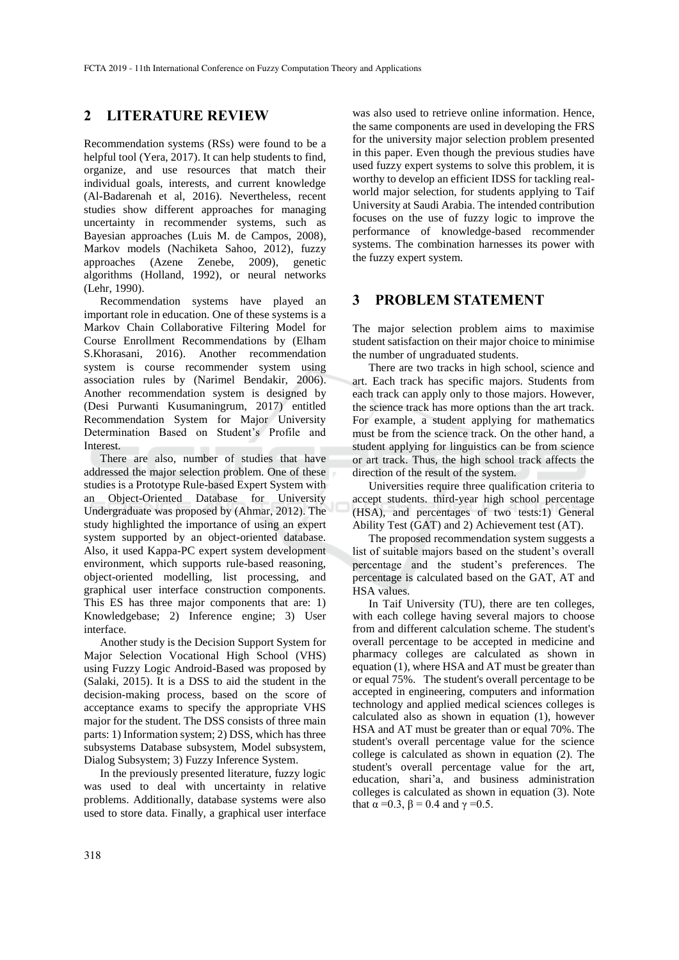### **2 LITERATURE REVIEW**

Recommendation systems (RSs) were found to be a helpful tool (Yera, 2017). It can help students to find, organize, and use resources that match their individual goals, interests, and current knowledge (Al-Badarenah et al, 2016). Nevertheless, recent studies show different approaches for managing uncertainty in recommender systems, such as Bayesian approaches (Luis M. de Campos, 2008), Markov models (Nachiketa Sahoo, 2012), fuzzy approaches (Azene Zenebe, 2009), genetic algorithms (Holland, 1992), or neural networks (Lehr, 1990).

Recommendation systems have played an important role in education. One of these systems is a Markov Chain Collaborative Filtering Model for Course Enrollment Recommendations by (Elham S.Khorasani, 2016). Another recommendation system is course recommender system using association rules by (Narimel Bendakir, 2006). Another recommendation system is designed by (Desi Purwanti Kusumaningrum, 2017) entitled Recommendation System for Major University Determination Based on Student's Profile and Interest.

There are also, number of studies that have addressed the major selection problem. One of these studies is a Prototype Rule-based Expert System with an Object-Oriented Database for University Undergraduate was proposed by (Ahmar, 2012). The study highlighted the importance of using an expert system supported by an object-oriented database. Also, it used Kappa-PC expert system development environment, which supports rule-based reasoning, object-oriented modelling, list processing, and graphical user interface construction components. This ES has three major components that are: 1) Knowledgebase; 2) Inference engine; 3) User interface.

Another study is the Decision Support System for Major Selection Vocational High School (VHS) using Fuzzy Logic Android-Based was proposed by (Salaki, 2015). It is a DSS to aid the student in the decision-making process, based on the score of acceptance exams to specify the appropriate VHS major for the student. The DSS consists of three main parts: 1) Information system; 2) DSS, which has three subsystems Database subsystem, Model subsystem, Dialog Subsystem; 3) Fuzzy Inference System.

In the previously presented literature, fuzzy logic was used to deal with uncertainty in relative problems. Additionally, database systems were also used to store data. Finally, a graphical user interface

was also used to retrieve online information. Hence, the same components are used in developing the FRS for the university major selection problem presented in this paper. Even though the previous studies have used fuzzy expert systems to solve this problem, it is worthy to develop an efficient IDSS for tackling realworld major selection, for students applying to Taif University at Saudi Arabia. The intended contribution focuses on the use of fuzzy logic to improve the performance of knowledge-based recommender systems. The combination harnesses its power with the fuzzy expert system.

### **3 PROBLEM STATEMENT**

The major selection problem aims to maximise student satisfaction on their major choice to minimise the number of ungraduated students.

There are two tracks in high school, science and art. Each track has specific majors. Students from each track can apply only to those majors. However, the science track has more options than the art track. For example, a student applying for mathematics must be from the science track. On the other hand, a student applying for linguistics can be from science or art track. Thus, the high school track affects the direction of the result of the system.

Universities require three qualification criteria to accept students. third-year high school percentage (HSA), and percentages of two tests:1) General Ability Test (GAT) and 2) Achievement test (AT).

The proposed recommendation system suggests a list of suitable majors based on the student's overall percentage and the student's preferences. The percentage is calculated based on the GAT, AT and HSA values.

In Taif University (TU), there are ten colleges, with each college having several majors to choose from and different calculation scheme. The student's overall percentage to be accepted in medicine and pharmacy colleges are calculated as shown in equation (1), where HSA and AT must be greater than or equal 75%. The student's overall percentage to be accepted in engineering, computers and information technology and applied medical sciences colleges is calculated also as shown in equation (1), however HSA and AT must be greater than or equal 70%. The student's overall percentage value for the science college is calculated as shown in equation (2). The student's overall percentage value for the art, education, shari'a, and business administration colleges is calculated as shown in equation (3). Note that  $\alpha = 0.3$ ,  $\beta = 0.4$  and  $\gamma = 0.5$ .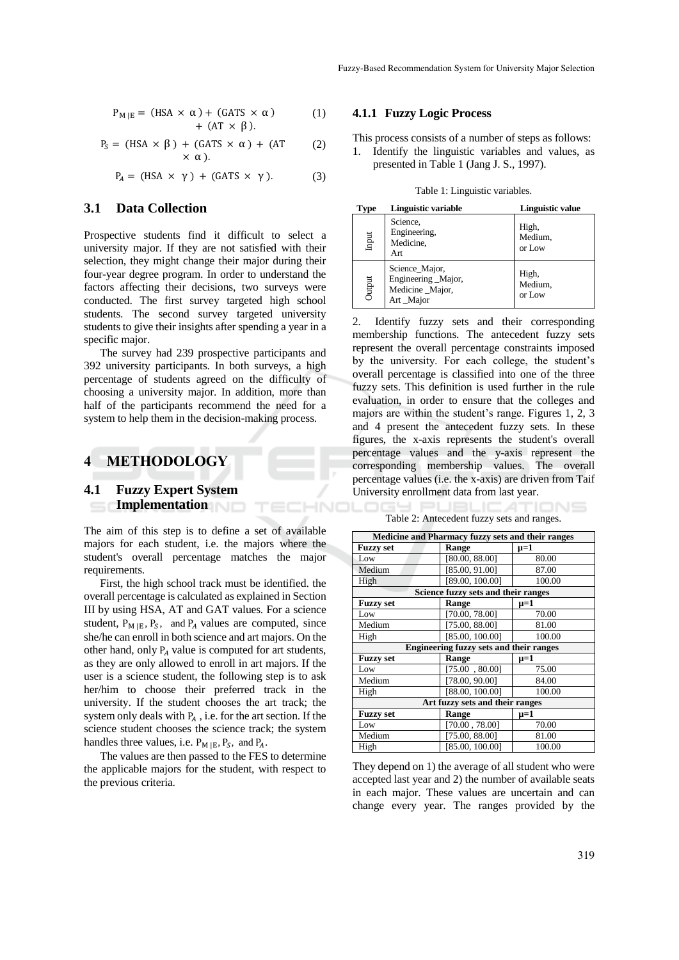$$
P_{M|E} = (HSA \times \alpha) + (GATS \times \alpha)
$$
  
+ 
$$
(AT \times \beta).
$$
 (1)

$$
P_S = (HSA \times \beta) + (GATS \times \alpha) + (AT \qquad (2)
$$
  
 
$$
\times \alpha).
$$

$$
P_A = (HSA \times \gamma) + (GATS \times \gamma). \tag{3}
$$

### **3.1 Data Collection**

Prospective students find it difficult to select a university major. If they are not satisfied with their selection, they might change their major during their four-year degree program. In order to understand the factors affecting their decisions, two surveys were conducted. The first survey targeted high school students. The second survey targeted university students to give their insights after spending a year in a specific major.

The survey had 239 prospective participants and 392 university participants. In both surveys, a high percentage of students agreed on the difficulty of choosing a university major. In addition, more than half of the participants recommend the need for a system to help them in the decision-making process.

### **4 METHODOLOGY**

### **4.1 Fuzzy Expert System Implementation**

The aim of this step is to define a set of available majors for each student, i.e. the majors where the student's overall percentage matches the major requirements.

First, the high school track must be identified. the overall percentage is calculated as explained in Section III by using HSA, AT and GAT values. For a science student,  $P_{M|E}$ ,  $P_S$ , and  $P_A$  values are computed, since she/he can enroll in both science and art majors. On the other hand, only  $P_A$  value is computed for art students, as they are only allowed to enroll in art majors. If the user is a science student, the following step is to ask her/him to choose their preferred track in the university. If the student chooses the art track; the system only deals with  $P_A$ , i.e. for the art section. If the science student chooses the science track; the system handles three values, i.e.  $P_{M|E}$ ,  $P_S$ , and  $P_A$ .

The values are then passed to the FES to determine the applicable majors for the student, with respect to the previous criteria.

#### **4.1.1 Fuzzy Logic Process**

This process consists of a number of steps as follows: 1. Identify the linguistic variables and values, as presented in Table 1 (Jang J. S., 1997).

Table 1: Linguistic variables.

| <b>Type</b> | Linguistic variable                                                    | <b>Linguistic value</b>    |
|-------------|------------------------------------------------------------------------|----------------------------|
| Input       | Science,<br>Engineering,<br>Medicine,<br>Art                           | High,<br>Medium,<br>or Low |
| Output      | Science_Major,<br>Engineering _Major,<br>Medicine _Major,<br>Art_Major | High,<br>Medium,<br>or Low |

2. Identify fuzzy sets and their corresponding membership functions. The antecedent fuzzy sets represent the overall percentage constraints imposed by the university. For each college, the student's overall percentage is classified into one of the three fuzzy sets. This definition is used further in the rule evaluation, in order to ensure that the colleges and majors are within the student's range. Figures 1, 2, 3 and 4 present the antecedent fuzzy sets. In these figures, the x-axis represents the student's overall percentage values and the y-axis represent the corresponding membership values. The overall percentage values (i.e. the x-axis) are driven from Taif University enrollment data from last year.

Table 2: Antecedent fuzzy sets and ranges.

| Medicine and Pharmacy fuzzy sets and their ranges |                 |           |  |  |
|---------------------------------------------------|-----------------|-----------|--|--|
| <b>Fuzzy set</b>                                  | Range           | µ=1       |  |  |
| Low                                               | [80.00, 88.00]  | 80.00     |  |  |
| Medium                                            | [85.00, 91.00]  | 87.00     |  |  |
| High                                              | [89.00, 100.00] | 100.00    |  |  |
| Science fuzzy sets and their ranges               |                 |           |  |  |
| <b>Fuzzy set</b>                                  | Range           | $\mu = 1$ |  |  |
| Low                                               | [70.00, 78.00]  | 70.00     |  |  |
| Medium                                            | [75.00, 88.00]  | 81.00     |  |  |
| High                                              | [85.00, 100.00] | 100.00    |  |  |
| <b>Engineering fuzzy sets and their ranges</b>    |                 |           |  |  |
| <b>Fuzzy set</b>                                  | Range           | $\mu = 1$ |  |  |
| Low                                               | [75.00, 80.00]  | 75.00     |  |  |
| Medium                                            | [78.00, 90.00]  | 84.00     |  |  |
| High                                              | [88.00, 100.00] | 100.00    |  |  |
| Art fuzzy sets and their ranges                   |                 |           |  |  |
| <b>Fuzzy set</b>                                  | Range           | µ=1       |  |  |
| Low                                               | [70.00, 78.00]  | 70.00     |  |  |
| Medium                                            | [75.00, 88.00]  | 81.00     |  |  |
| High                                              | [85.00, 100.00] | 100.00    |  |  |

They depend on 1) the average of all student who were accepted last year and 2) the number of available seats in each major. These values are uncertain and can change every year. The ranges provided by the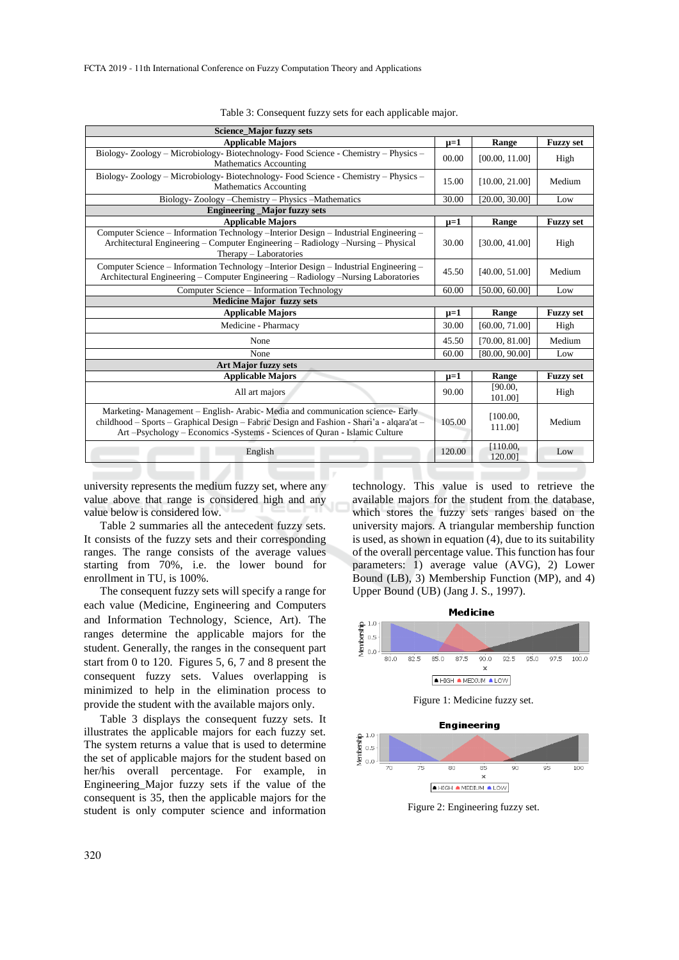| <b>Science_Major fuzzy sets</b>                                                                                                                                                                                                                        |           |                     |                  |
|--------------------------------------------------------------------------------------------------------------------------------------------------------------------------------------------------------------------------------------------------------|-----------|---------------------|------------------|
| <b>Applicable Majors</b>                                                                                                                                                                                                                               | $\mu = 1$ | Range               | <b>Fuzzy set</b> |
| Biology-Zoology - Microbiology- Biotechnology- Food Science - Chemistry - Physics -<br><b>Mathematics Accounting</b>                                                                                                                                   | 00.00     | [00.00, 11.00]      | High             |
| Biology-Zoology - Microbiology- Biotechnology- Food Science - Chemistry - Physics -<br>Mathematics Accounting                                                                                                                                          | 15.00     | [10.00, 21.00]      | Medium           |
| Biology-Zoology-Chemistry-Physics-Mathematics                                                                                                                                                                                                          | 30.00     | [20.00, 30.00]      | Low              |
| <b>Engineering _Major fuzzy sets</b>                                                                                                                                                                                                                   |           |                     |                  |
| <b>Applicable Majors</b>                                                                                                                                                                                                                               | $\mu = 1$ | Range               | <b>Fuzzy set</b> |
| Computer Science – Information Technology –Interior Design – Industrial Engineering –<br>Architectural Engineering - Computer Engineering - Radiology -Nursing - Physical<br>Therapy - Laboratories                                                    | 30.00     | [30.00, 41.00]      | High             |
| Computer Science - Information Technology - Interior Design - Industrial Engineering -<br>Architectural Engineering – Computer Engineering – Radiology – Nursing Laboratories                                                                          | 45.50     | [40.00, 51.00]      | Medium           |
| Computer Science - Information Technology                                                                                                                                                                                                              | 60.00     | [50.00, 60.00]      | Low              |
| <b>Medicine Major fuzzy sets</b>                                                                                                                                                                                                                       |           |                     |                  |
| <b>Applicable Majors</b>                                                                                                                                                                                                                               | $\mu=1$   | Range               | <b>Fuzzy set</b> |
| Medicine - Pharmacy                                                                                                                                                                                                                                    | 30.00     | [60.00, 71.00]      | High             |
| None                                                                                                                                                                                                                                                   | 45.50     | [70.00, 81.00]      | Medium           |
| None                                                                                                                                                                                                                                                   | 60.00     | [80.00, 90.00]      | Low              |
| <b>Art Major fuzzy sets</b>                                                                                                                                                                                                                            |           |                     |                  |
| <b>Applicable Majors</b>                                                                                                                                                                                                                               | $\mu=1$   | Range               | <b>Fuzzy set</b> |
| All art majors                                                                                                                                                                                                                                         | 90.00     | [90.00,<br>101.001  | High             |
| Marketing-Management - English-Arabic-Media and communication science-Early<br>childhood – Sports – Graphical Design – Fabric Design and Fashion - Shari'a - algara'at –<br>Art-Psychology - Economics - Systems - Sciences of Quran - Islamic Culture | 105.00    | [100.00,<br>111.00] | Medium           |
| English                                                                                                                                                                                                                                                | 120.00    | [110.00,<br>120.001 | Low              |

Table 3: Consequent fuzzy sets for each applicable major.

university represents the medium fuzzy set, where any value above that range is considered high and any value below is considered low.

Table 2 summaries all the antecedent fuzzy sets. It consists of the fuzzy sets and their corresponding ranges. The range consists of the average values starting from 70%, i.e. the lower bound for enrollment in TU, is 100%.

The consequent fuzzy sets will specify a range for each value (Medicine, Engineering and Computers and Information Technology, Science, Art). The ranges determine the applicable majors for the student. Generally, the ranges in the consequent part start from 0 to 120. Figures 5, 6, 7 and 8 present the consequent fuzzy sets. Values overlapping is minimized to help in the elimination process to provide the student with the available majors only.

Table 3 displays the consequent fuzzy sets. It illustrates the applicable majors for each fuzzy set. The system returns a value that is used to determine the set of applicable majors for the student based on her/his overall percentage. For example, in Engineering\_Major fuzzy sets if the value of the consequent is 35, then the applicable majors for the student is only computer science and information

technology. This value is used to retrieve the available majors for the student from the database, which stores the fuzzy sets ranges based on the university majors. A triangular membership function is used, as shown in equation (4), due to its suitability of the overall percentage value. This function has four parameters: 1) average value (AVG), 2) Lower Bound (LB), 3) Membership Function (MP), and 4) Upper Bound (UB) (Jang J. S., 1997).





 $\overline{85}$ 

 $\mathbf{x}$ 

 $100$ 

 $\overline{75}$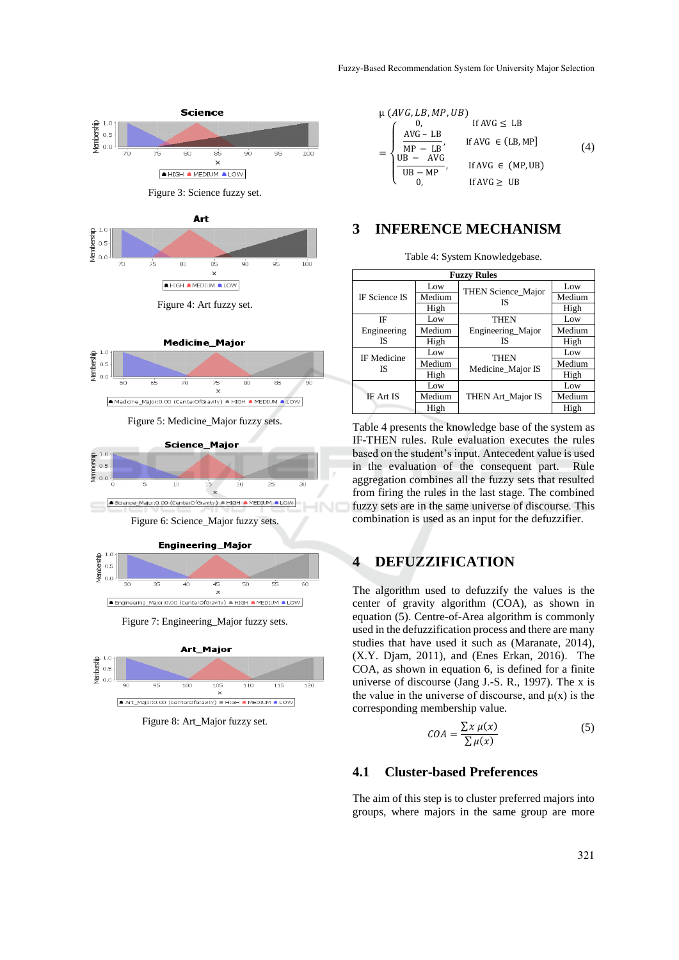



Figure 8: Art\_Major fuzzy set.

$$
\mu (AVG, LB, MP, UB)
$$
\n
$$
= \begin{cases}\n0, & \text{if AVG} \leq \text{LB} \\
\frac{\text{AVG} - \text{LB}}{\text{MP} - \text{LB}}, & \text{if AVG} \in (\text{LB}, \text{MP}] \\
\frac{\text{UB} - \text{AVG}}{\text{UB} - \text{MP}}, & \text{If AVG} \in (\text{MP}, \text{UB}) \\
0, & \text{If AVG} \geq \text{UB}\n\end{cases}
$$
\n(4)

### **3 INFERENCE MECHANISM**

Table 4: System Knowledgebase.

| <b>Fuzzy Rules</b>   |        |                    |        |  |
|----------------------|--------|--------------------|--------|--|
|                      | Low    | THEN Science_Major | Low    |  |
| <b>IF Science IS</b> | Medium | IS                 | Medium |  |
|                      | High   |                    | High   |  |
| ΙF                   | Low    | <b>THEN</b>        | Low    |  |
| Engineering          | Medium | Engineering Major  | Medium |  |
| <b>IS</b>            | High   | <b>IS</b>          | High   |  |
| <b>IF</b> Medicine   | Low    | <b>THEN</b>        | Low    |  |
| IS                   | Medium | Medicine_Major IS  | Medium |  |
|                      | High   |                    | High   |  |
|                      | Low    |                    | Low    |  |
| <b>IF Art IS</b>     | Medium | THEN Art_Major IS  | Medium |  |
|                      | High   |                    | High   |  |

Table 4 presents the knowledge base of the system as IF-THEN rules. Rule evaluation executes the rules based on the student's input. Antecedent value is used in the evaluation of the consequent part. Rule aggregation combines all the fuzzy sets that resulted from firing the rules in the last stage. The combined fuzzy sets are in the same universe of discourse. This combination is used as an input for the defuzzifier.

## **4 DEFUZZIFICATION**

The algorithm used to defuzzify the values is the center of gravity algorithm (COA), as shown in equation (5). Centre-of-Area algorithm is commonly used in the defuzzification process and there are many studies that have used it such as (Maranate, 2014), (X.Y. Djam, 2011), and (Enes Erkan, 2016). The COA, as shown in equation 6, is defined for a finite universe of discourse (Jang J.-S. R., 1997). The x is the value in the universe of discourse, and  $\mu(x)$  is the corresponding membership value.

$$
COA = \frac{\sum x \mu(x)}{\sum \mu(x)}\tag{5}
$$

#### **4.1 Cluster-based Preferences**

The aim of this step is to cluster preferred majors into groups, where majors in the same group are more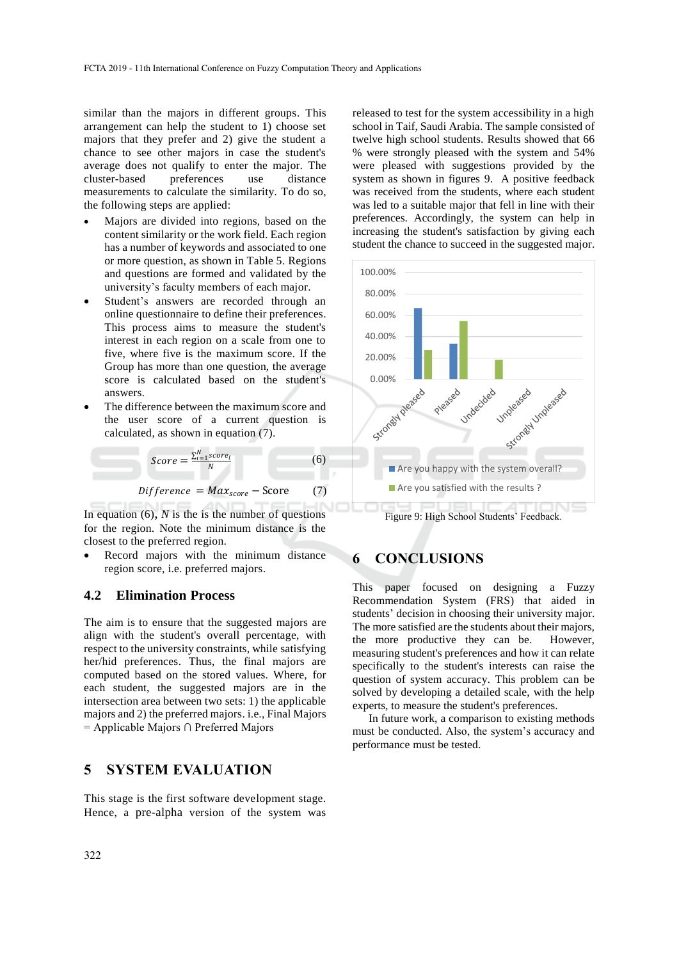similar than the majors in different groups. This arrangement can help the student to 1) choose set majors that they prefer and 2) give the student a chance to see other majors in case the student's average does not qualify to enter the major. The cluster-based preferences use distance measurements to calculate the similarity. To do so, the following steps are applied:

- Majors are divided into regions, based on the content similarity or the work field. Each region has a number of keywords and associated to one or more question, as shown in Table 5. Regions and questions are formed and validated by the university's faculty members of each major.
- Student's answers are recorded through an online questionnaire to define their preferences. This process aims to measure the student's interest in each region on a scale from one to five, where five is the maximum score. If the Group has more than one question, the average score is calculated based on the student's answers.
- The difference between the maximum score and the user score of a current question is calculated, as shown in equation (7).

$$
Score = \frac{\sum_{i=1}^{N} score_i}{N}
$$
 (6)

$$
Difference = Max_{score} - Score \qquad (7)
$$

In equation  $(6)$ , *N* is the is the number of questions for the region. Note the minimum distance is the closest to the preferred region.

 Record majors with the minimum distance region score, i.e. preferred majors.

#### **4.2 Elimination Process**

The aim is to ensure that the suggested majors are align with the student's overall percentage, with respect to the university constraints, while satisfying her/hid preferences. Thus, the final majors are computed based on the stored values. Where, for each student, the suggested majors are in the intersection area between two sets: 1) the applicable majors and 2) the preferred majors. i.e., Final Majors = Applicable Majors ∩ Preferred Majors

## **5 SYSTEM EVALUATION**

This stage is the first software development stage. Hence, a pre-alpha version of the system was released to test for the system accessibility in a high school in Taif, Saudi Arabia. The sample consisted of twelve high school students. Results showed that 66 % were strongly pleased with the system and 54% were pleased with suggestions provided by the system as shown in figures 9. A positive feedback was received from the students, where each student was led to a suitable major that fell in line with their preferences. Accordingly, the system can help in increasing the student's satisfaction by giving each student the chance to succeed in the suggested major.



Figure 9: High School Students' Feedback.

### **6 CONCLUSIONS**

This paper focused on designing a Fuzzy Recommendation System (FRS) that aided in students' decision in choosing their university major. The more satisfied are the students about their majors, the more productive they can be. However, measuring student's preferences and how it can relate specifically to the student's interests can raise the question of system accuracy. This problem can be solved by developing a detailed scale, with the help experts, to measure the student's preferences.

In future work, a comparison to existing methods must be conducted. Also, the system's accuracy and performance must be tested.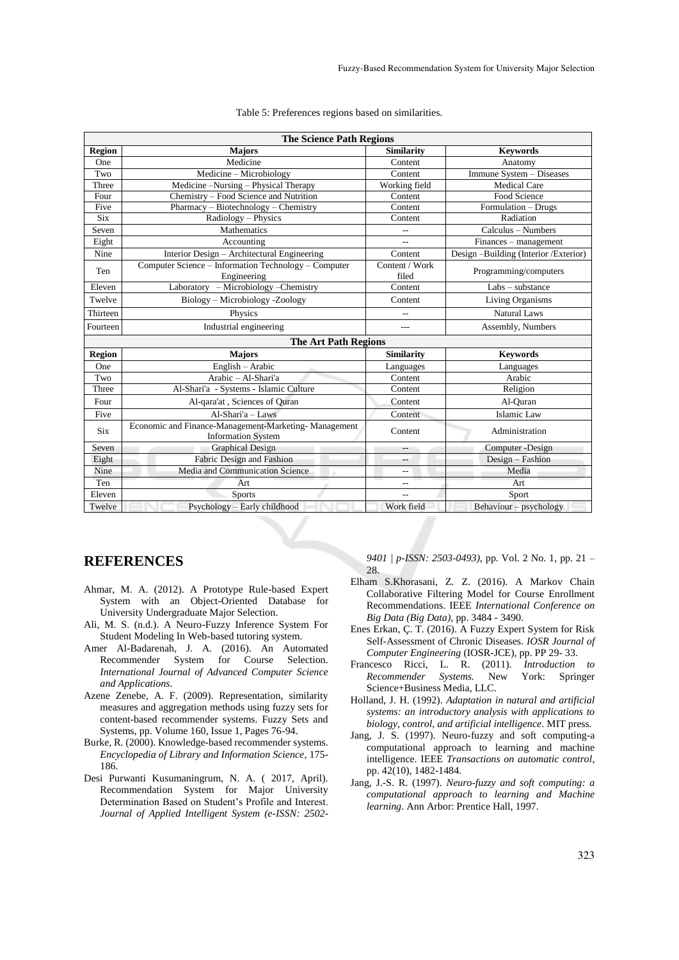| <b>The Science Path Regions</b> |                                                                                   |                           |                                                |
|---------------------------------|-----------------------------------------------------------------------------------|---------------------------|------------------------------------------------|
| <b>Region</b>                   | <b>Majors</b>                                                                     | <b>Similarity</b>         | <b>Keywords</b>                                |
| One                             | Medicine                                                                          | Content                   | Anatomy                                        |
| Two                             | Medicine - Microbiology                                                           | Content                   | Immune System - Diseases                       |
| Three                           | Medicine –Nursing – Physical Therapy                                              | Working field             | <b>Medical Care</b>                            |
| Four                            | Chemistry – Food Science and Nutrition                                            | Content                   | Food Science                                   |
| Five                            | Pharmacy – Biotechnology – Chemistry                                              | Content                   | $\overline{\text{Formulation}} - \text{Drugs}$ |
| <b>Six</b>                      | Radiology - Physics                                                               | Content                   | Radiation                                      |
| Seven                           | Mathematics                                                                       | $-$                       | Calculus – Numbers                             |
| Eight                           | Accounting                                                                        | $\sim$                    | Finances - management                          |
| Nine                            | Interior Design - Architectural Engineering                                       | Content                   | Design -Building (Interior /Exterior)          |
| Ten                             | Computer Science – Information Technology – Computer<br>Engineering               | Content / $Work$<br>filed | Programming/computers                          |
| Eleven                          | Laboratory - Microbiology - Chemistry                                             | Content                   | $Labs - substance$                             |
| Twelve                          | Biology - Microbiology - Zoology                                                  | Content                   | Living Organisms                               |
| Thirteen                        | Physics                                                                           | $-$                       | Natural Laws                                   |
| Fourteen                        | Industrial engineering                                                            | $---$                     | Assembly, Numbers                              |
|                                 | <b>The Art Path Regions</b>                                                       |                           |                                                |
| <b>Region</b>                   | <b>Majors</b>                                                                     | <b>Similarity</b>         | <b>Keywords</b>                                |
| One                             | English - Arabic                                                                  | Languages                 | Languages                                      |
| Two                             | Arabic - Al-Shari'a                                                               | Content                   | Arabic                                         |
| Three                           | Al-Shari'a - Systems - Islamic Culture                                            | Content                   | Religion                                       |
| Four                            | Al-qara'at, Sciences of Quran                                                     | Content                   | Al-Quran                                       |
| Five                            | $Al-Shari'a - Laws$                                                               | Content                   | <b>Islamic Law</b>                             |
| <b>Six</b>                      | Economic and Finance-Management-Marketing-Management<br><b>Information System</b> | Content                   | Administration                                 |
| Seven                           | <b>Graphical Design</b>                                                           | --                        | Computer -Design                               |
| Eight                           | Fabric Design and Fashion                                                         |                           | Design - Fashion                               |
| Nine                            | Media and Communication Science                                                   | $\overline{a}$            | Media                                          |
| Ten                             | Art                                                                               | $-$                       | Art                                            |
| Eleven                          | <b>Sports</b>                                                                     | $\overline{a}$            | Sport                                          |
| Twelve                          | Psychology - Early childhood                                                      | Work field                | Behaviour - psychology                         |

#### Table 5: Preferences regions based on similarities.

## **REFERENCES**

- Ahmar, M. A. (2012). A Prototype Rule-based Expert System with an Object-Oriented Database for University Undergraduate Major Selection.
- Ali, M. S. (n.d.). A Neuro-Fuzzy Inference System For Student Modeling In Web-based tutoring system.
- Amer Al-Badarenah, J. A. (2016). An Automated Recommender System for Course Selection. *International Journal of Advanced Computer Science and Applications*.
- Azene Zenebe, A. F. (2009). Representation, similarity measures and aggregation methods using fuzzy sets for content-based recommender systems. Fuzzy Sets and Systems, pp. Volume 160, Issue 1, Pages 76-94.
- Burke, R. (2000). Knowledge-based recommender systems. *Encyclopedia of Library and Information Science*, 175- 186.
- Desi Purwanti Kusumaningrum, N. A. ( 2017, April). Recommendation System for Major University Determination Based on Student's Profile and Interest. *Journal of Applied Intelligent System (e-ISSN: 2502-*

*9401 | p-ISSN: 2503-0493),* pp. Vol. 2 No. 1, pp. 21 – 28.

- Elham S.Khorasani, Z. Z. (2016). A Markov Chain Collaborative Filtering Model for Course Enrollment Recommendations. IEEE *International Conference on Big Data (Big Data)*, pp. 3484 - 3490.
- Enes Erkan, Ç. T. (2016). A Fuzzy Expert System for Risk Self-Assessment of Chronic Diseases. *IOSR Journal of Computer Engineering* (IOSR-JCE), pp. PP 29- 33.
- Francesco Ricci, L. R. (2011). *Introduction to Recommender Systems.* New York: Springer Science+Business Media, LLC.
- Holland, J. H. (1992). *Adaptation in natural and artificial systems: an introductory analysis with applications to biology, control, and artificial intelligence*. MIT press.
- Jang, J. S. (1997). Neuro-fuzzy and soft computing-a computational approach to learning and machine intelligence. IEEE *Transactions on automatic control*, pp. 42(10), 1482-1484.
- Jang, J.-S. R. (1997). *Neuro-fuzzy and soft computing: a computational approach to learning and Machine learning*. Ann Arbor: Prentice Hall, 1997.